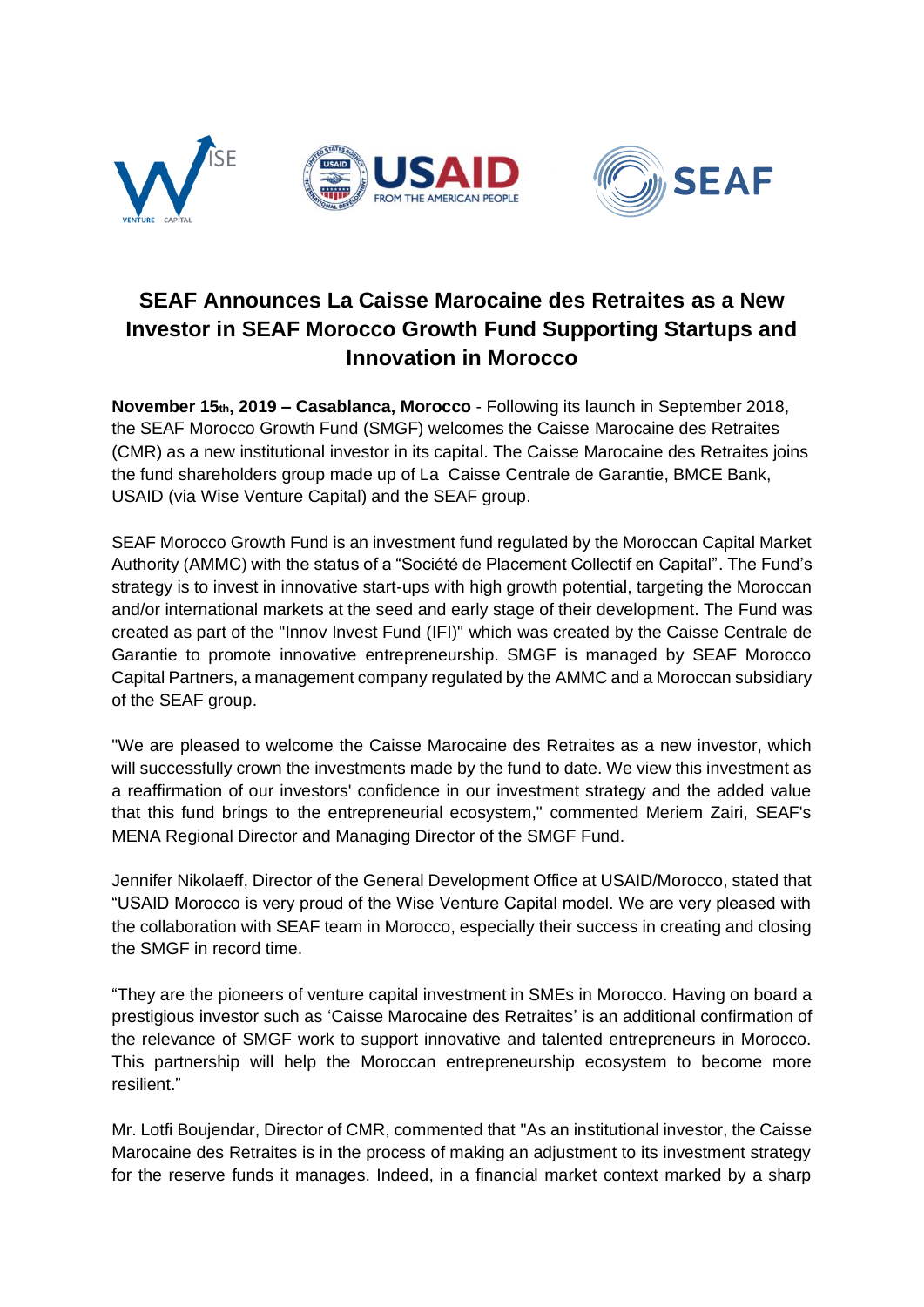



## **SEAF Announces La Caisse Marocaine des Retraites as a New Investor in SEAF Morocco Growth Fund Supporting Startups and Innovation in Morocco**

**November 15th, 2019 – Casablanca, Morocco** - Following its launch in September 2018, the SEAF Morocco Growth Fund (SMGF) welcomes the Caisse Marocaine des Retraites (CMR) as a new institutional investor in its capital. The Caisse Marocaine des Retraites joins the fund shareholders group made up of La Caisse Centrale de Garantie, BMCE Bank, USAID (via Wise Venture Capital) and the SEAF group.

SEAF Morocco Growth Fund is an investment fund regulated by the Moroccan Capital Market Authority (AMMC) with the status of a "Société de Placement Collectif en Capital". The Fund's strategy is to invest in innovative start-ups with high growth potential, targeting the Moroccan and/or international markets at the seed and early stage of their development. The Fund was created as part of the "Innov Invest Fund (IFI)" which was created by the Caisse Centrale de Garantie to promote innovative entrepreneurship. SMGF is managed by SEAF Morocco Capital Partners, a management company regulated by the AMMC and a Moroccan subsidiary of the SEAF group.

"We are pleased to welcome the Caisse Marocaine des Retraites as a new investor, which will successfully crown the investments made by the fund to date. We view this investment as a reaffirmation of our investors' confidence in our investment strategy and the added value that this fund brings to the entrepreneurial ecosystem," commented Meriem Zairi, SEAF's MENA Regional Director and Managing Director of the SMGF Fund.

Jennifer Nikolaeff, Director of the General Development Office at USAID/Morocco, stated that "USAID Morocco is very proud of the Wise Venture Capital model. We are very pleased with the collaboration with SEAF team in Morocco, especially their success in creating and closing the SMGF in record time.

"They are the pioneers of venture capital investment in SMEs in Morocco. Having on board a prestigious investor such as 'Caisse Marocaine des Retraites' is an additional confirmation of the relevance of SMGF work to support innovative and talented entrepreneurs in Morocco. This partnership will help the Moroccan entrepreneurship ecosystem to become more resilient."

Mr. Lotfi Boujendar, Director of CMR, commented that "As an institutional investor, the Caisse Marocaine des Retraites is in the process of making an adjustment to its investment strategy for the reserve funds it manages. Indeed, in a financial market context marked by a sharp